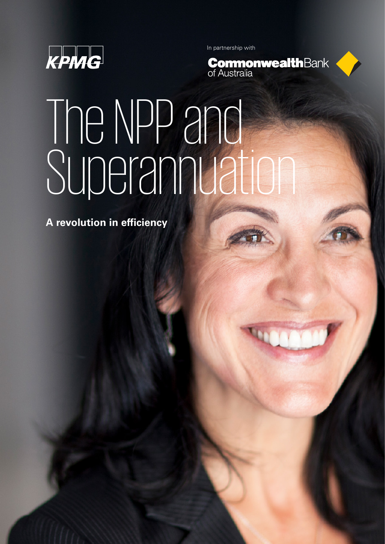

In partnership with



# The NPP and Superannuation

**A revolution in efficiency**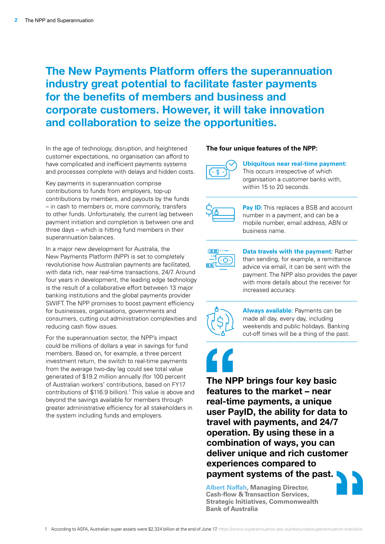## **The New Payments Platform offers the superannuation industry great potential to facilitate faster payments for the benefits of members and business and corporate customers. However, it will take innovation and collaboration to seize the opportunities.**

In the age of technology, disruption, and heightened customer expectations, no organisation can afford to have complicated and inefficient payments systems and processes complete with delays and hidden costs.

Key payments in superannuation comprise contributions to funds from employers, top-up contributions by members, and payouts by the funds – in cash to members or, more commonly, transfers to other funds. Unfortunately, the current lag between payment initiation and completion is between one and three days – which is hitting fund members in their superannuation balances.

In a major new development for Australia, the New Payments Platform (NPP) is set to completely revolutionise how Australian payments are facilitated, with data rich, near real-time transactions, 24/7. Around four years in development, the leading edge technology is the result of a collaborative effort between 13 major banking institutions and the global payments provider SWIFT. The NPP promises to boost payment efficiency for businesses, organisations, governments and consumers, cutting out administration complexities and reducing cash flow issues.

For the superannuation sector, the NPP's impact could be millions of dollars a year in savings for fund members. Based on, for example, a three percent investment return, the switch to real-time payments from the average two-day lag could see total value generated of \$19.2 million annually (for 100 percent of Australian workers' contributions, based on FY17 contributions of \$116.9 billion).<sup>1</sup> This value is above and beyond the savings available for members through greater administrative efficiency for all stakeholders in the system including funds and employers.

### **The four unique features of the NPP:**



**Ubiquitous near real-time payment:** This occurs irrespective of which organisation a customer banks with, within 15 to 20 seconds.



**Pay ID:** This replaces a BSB and account number in a payment, and can be a mobile number, email address, ABN or business name.



**Data travels with the payment:** Rather than sending, for example, a remittance advice via email, it can be sent with the payment. The NPP also provides the payer with more details about the receiver for increased accuracy.



**Always available:** Payments can be made all day, every day, including weekends and public holidays. Banking cut-off times will be a thing of the past.

**The NPP brings four key basic features to the market – near real-time payments, a unique user PayID, the ability for data to travel with payments, and 24/7 operation. By using these in a combination of ways, you can deliver unique and rich customer experiences compared to payment systems of the past.**

**Albert Naffah, Managing Director, Cash-flow & Transaction Services, Strategic Initiatives, Commonwealth Bank of Australia**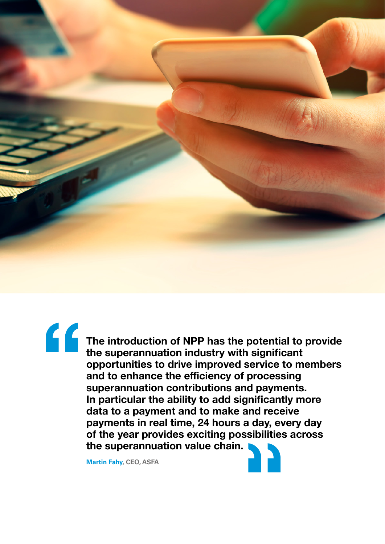

**The introduction of NPP has the potential to provide the superannuation industry with significant opportunities to drive improved service to members and to enhance the efficiency of processing superannuation contributions and payments. In particular the ability to add significantly more data to a payment and to make and receive payments in real time, 24 hours a day, every day of the year provides exciting possibilities across the superannuation value chain.** 

**Martin Fahy, CEO, ASFA**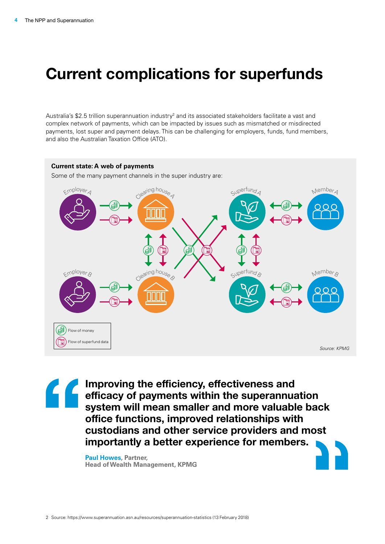## **Current complications for superfunds**

Australia's \$2.5 trillion superannuation industry<sup>2</sup> and its associated stakeholders facilitate a vast and complex network of payments, which can be impacted by issues such as mismatched or misdirected payments, lost super and payment delays. This can be challenging for employers, funds, fund members, and also the Australian Taxation Office (ATO).

#### **Current state: A web of payments**

Some of the many payment channels in the super industry are:



**Improving the efficiency, effectiveness and efficacy of payments within the superannuation system will mean smaller and more valuable back office functions, improved relationships with custodians and other service providers and most importantly a better experience for members.**

**Paul Howes, Partner, Head of Wealth Management, KPMG**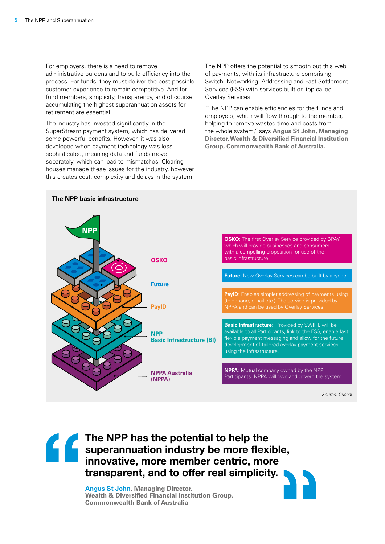For employers, there is a need to remove administrative burdens and to build efficiency into the process. For funds, they must deliver the best possible customer experience to remain competitive. And for fund members, simplicity, transparency, and of course accumulating the highest superannuation assets for retirement are essential.

The industry has invested significantly in the SuperStream payment system, which has delivered some powerful benefits. However, it was also developed when payment technology was less sophisticated, meaning data and funds move separately, which can lead to mismatches. Clearing houses manage these issues for the industry, however this creates cost, complexity and delays in the system. The NPP offers the potential to smooth out this web of payments, with its infrastructure comprising Switch, Networking, Addressing and Fast Settlement Services (FSS) with services built on top called Overlay Services.

*"*The NPP can enable efficiencies for the funds and employers, which will flow through to the member, helping to remove wasted time and costs from the whole system*,"* says **Angus St John, Managing Director, Wealth & Diversified Financial Institution Group, Commonwealth Bank of Australia.**



**The NPP has the potential to help the superannuation industry be more flexible, innovative, more member centric, more transparent, and to offer real simplicity.** 

**Angus St John, Managing Director, Wealth & Diversified Financial Institution Group, Commonwealth Bank of Australia**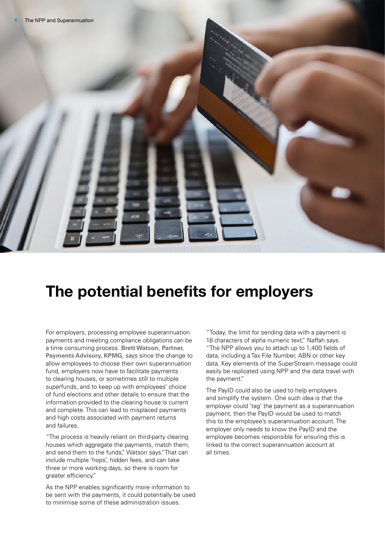

# **The potential benefits for employers**

For employers, processing employee superannuation payments and meeting compliance obligations can be a time consuming process. **Brett Watson**, **Partner, Payments Advisory, KPMG**, says since the change to allow employees to choose their own superannuation fund, employers now have to facilitate payments to clearing houses, or sometimes still to multiple superfunds, and to keep up with employees' choice of fund elections and other details to ensure that the information provided to the clearing house is current and complete. This can lead to misplaced payments and high costs associated with payment returns and failures.

"The process is heavily reliant on third-party clearing houses which aggregate the payments, match them, and send them to the funds," Watson says."That can include multiple 'hops', hidden fees, and can take three or more working days, so there is room for greater efficiency."

As the NPP enables significantly more information to be sent with the payments, it could potentially be used to minimise some of these administration issues.

"Today, the limit for sending data with a payment is 18 characters of alpha numeric text," Naffah says. "The NPP allows you to attach up to 1,400 fields of data, including a Tax File Number, ABN or other key data. Key elements of the SuperStream message could easily be replicated using NPP and the data travel with the payment."

The PayID could also be used to help employers and simplify the system. One such idea is that the employer could 'tag' the payment as a superannuation payment, then the PayID would be used to match this to the employee's superannuation account. The employer only needs to know the PayID and the employee becomes responsible for ensuring this is linked to the correct superannuation account at all times.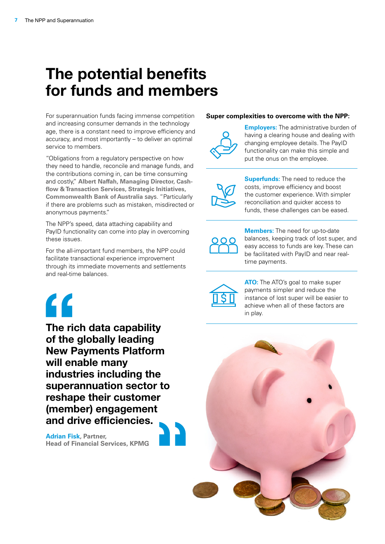## **The potential benefits for funds and members**

For superannuation funds facing immense competition and increasing consumer demands in the technology age, there is a constant need to improve efficiency and accuracy, and most importantly – to deliver an optimal service to members.

"Obligations from a regulatory perspective on how they need to handle, reconcile and manage funds, and the contributions coming in, can be time consuming and costly," **Albert Naffah, Managing Director, Cashflow & Transaction Services, Strategic Initiatives, Commonwealth Bank of Australia** says. "Particularly if there are problems such as mistaken, misdirected or anonymous payments."

The NPP's speed, data attaching capability and PayID functionality can come into play in overcoming these issues.

For the all-important fund members, the NPP could facilitate transactional experience improvement through its immediate movements and settlements and real-time balances.



**The rich data capability of the globally leading New Payments Platform will enable many industries including the superannuation sector to reshape their customer (member) engagement and drive efficiencies.**

**Adrian Fisk, Partner, Head of Financial Services, KPMG**

### **Super complexities to overcome with the NPP:**



**Employers:** The administrative burden of having a clearing house and dealing with changing employee details. The PayID functionality can make this simple and put the onus on the employee.



**Superfunds:** The need to reduce the costs, improve efficiency and boost the customer experience. With simpler reconciliation and quicker access to funds, these challenges can be eased.

**Members:** The need for up-to-date balances, keeping track of lost super, and easy access to funds are key. These can be facilitated with PayID and near realtime payments.



**ATO:** The ATO's goal to make super payments simpler and reduce the instance of lost super will be easier to achieve when all of these factors are in play.

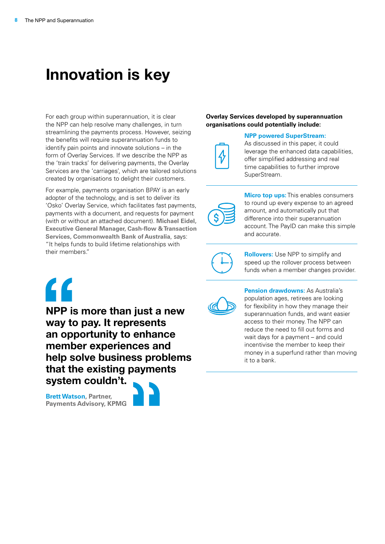## **Innovation is key**

For each group within superannuation, it is clear the NPP can help resolve many challenges, in turn streamlining the payments process. However, seizing the benefits will require superannuation funds to identify pain points and innovate solutions – in the form of Overlay Services. If we describe the NPP as the 'train tracks' for delivering payments, the Overlay Services are the 'carriages', which are tailored solutions created by organisations to delight their customers.

For example, payments organisation BPAY is an early adopter of the technology, and is set to deliver its 'Osko' Overlay Service, which facilitates fast payments, payments with a document, and requests for payment (with or without an attached document). **Michael Eidel, Executive General Manager, Cash-flow & Transaction Services, Commonwealth Bank of Australia**, says: "It helps funds to build lifetime relationships with their members."

#### **Overlay Services developed by superannuation organisations could potentially include:**

**NPP powered SuperStream:**

As discussed in this paper, it could leverage the enhanced data capabilities, offer simplified addressing and real time capabilities to further improve SuperStream.



**Micro top ups:** This enables consumers to round up every expense to an agreed amount, and automatically put that difference into their superannuation account. The PayID can make this simple and accurate.



**Rollovers:** Use NPP to simplify and speed up the rollover process between funds when a member changes provider.



**NPP is more than just a new way to pay. It represents an opportunity to enhance member experiences and help solve business problems that the existing payments system couldn't.** 

**Brett Watson, Partner, Payments Advisory, KPMG**





**Pension drawdowns:** As Australia's population ages, retirees are looking for flexibility in how they manage their superannuation funds, and want easier access to their money. The NPP can reduce the need to fill out forms and wait days for a payment – and could incentivise the member to keep their money in a superfund rather than moving it to a bank.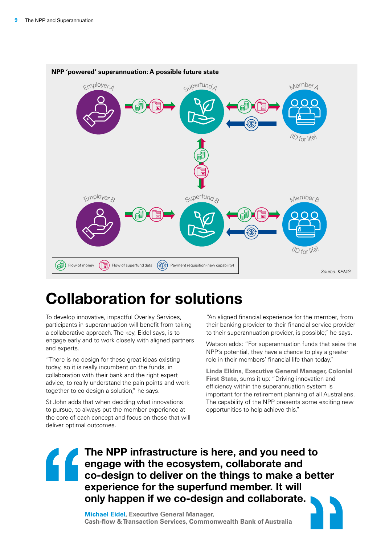

## **Collaboration for solutions**

To develop innovative, impactful Overlay Services, participants in superannuation will benefit from taking a collaborative approach. The key, Eidel says, is to engage early and to work closely with aligned partners and experts.

"There is no design for these great ideas existing today, so it is really incumbent on the funds, in collaboration with their bank and the right expert advice, to really understand the pain points and work together to co-design a solution," he says.

St John adds that when deciding what innovations to pursue, to always put the member experience at the core of each concept and focus on those that will deliver optimal outcomes.

"An aligned financial experience for the member, from their banking provider to their financial service provider to their superannuation provider, is possible," he says.

Watson adds: "For superannuation funds that seize the NPP's potential, they have a chance to play a greater role in their members' financial life than today."

**Linda Elkins**, **Executive General Manager, Colonial First State**, sums it up: "Driving innovation and efficiency within the superannuation system is important for the retirement planning of all Australians. The capability of the NPP presents some exciting new opportunities to help achieve this."

**The NPP infrastructure is here, and you need to**  engage with the ecosystem, collaborate and<br>**Co-design to deliver on the things to make a co-design to deliver on the things to make a better experience for the superfund member. It will only happen if we co-design and collaborate.** 

**Michael Eidel, Executive General Manager, Cash-flow & Transaction Services, Commonwealth Bank of Australia**